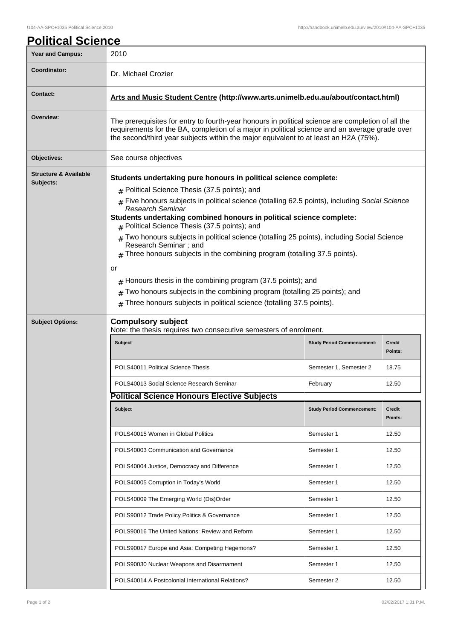## !104-AA-SPC+1035 Political Science,2010 http://handbook.unimelb.edu.au/view/2010/!104-AA-SPC+1035

| <b>Political Science</b>                      |                                                                                                                                                                                                                                                                                                                                                                                                                                                                                                                                                                                                                                                                                                                                                                                                                           |                                   |                          |  |  |
|-----------------------------------------------|---------------------------------------------------------------------------------------------------------------------------------------------------------------------------------------------------------------------------------------------------------------------------------------------------------------------------------------------------------------------------------------------------------------------------------------------------------------------------------------------------------------------------------------------------------------------------------------------------------------------------------------------------------------------------------------------------------------------------------------------------------------------------------------------------------------------------|-----------------------------------|--------------------------|--|--|
| <b>Year and Campus:</b>                       | 2010                                                                                                                                                                                                                                                                                                                                                                                                                                                                                                                                                                                                                                                                                                                                                                                                                      |                                   |                          |  |  |
| Coordinator:                                  | Dr. Michael Crozier                                                                                                                                                                                                                                                                                                                                                                                                                                                                                                                                                                                                                                                                                                                                                                                                       |                                   |                          |  |  |
| Contact:                                      | Arts and Music Student Centre (http://www.arts.unimelb.edu.au/about/contact.html)                                                                                                                                                                                                                                                                                                                                                                                                                                                                                                                                                                                                                                                                                                                                         |                                   |                          |  |  |
| Overview:                                     | The prerequisites for entry to fourth-year honours in political science are completion of all the<br>requirements for the BA, completion of a major in political science and an average grade over<br>the second/third year subjects within the major equivalent to at least an H2A (75%).                                                                                                                                                                                                                                                                                                                                                                                                                                                                                                                                |                                   |                          |  |  |
| Objectives:                                   | See course objectives                                                                                                                                                                                                                                                                                                                                                                                                                                                                                                                                                                                                                                                                                                                                                                                                     |                                   |                          |  |  |
| <b>Structure &amp; Available</b><br>Subjects: | Students undertaking pure honours in political science complete:<br># Political Science Thesis (37.5 points); and<br># Five honours subjects in political science (totalling 62.5 points), including Social Science<br><b>Research Seminar</b><br>Students undertaking combined honours in political science complete:<br>$#$ Political Science Thesis (37.5 points); and<br># Two honours subjects in political science (totalling 25 points), including Social Science<br>Research Seminar ; and<br>$#$ Three honours subjects in the combining program (totalling 37.5 points).<br>or<br>Honours thesis in the combining program (37.5 points); and<br>#<br>Two honours subjects in the combining program (totalling 25 points); and<br>#<br>Three honours subjects in political science (totalling 37.5 points).<br># |                                   |                          |  |  |
| <b>Subject Options:</b>                       | <b>Compulsory subject</b><br>Note: the thesis requires two consecutive semesters of enrolment.                                                                                                                                                                                                                                                                                                                                                                                                                                                                                                                                                                                                                                                                                                                            |                                   |                          |  |  |
|                                               | <b>Subject</b>                                                                                                                                                                                                                                                                                                                                                                                                                                                                                                                                                                                                                                                                                                                                                                                                            | <b>Study Period Commencement:</b> | <b>Credit</b><br>Points: |  |  |
|                                               | POLS40011 Political Science Thesis                                                                                                                                                                                                                                                                                                                                                                                                                                                                                                                                                                                                                                                                                                                                                                                        | Semester 1, Semester 2            | 18.75                    |  |  |
|                                               | POLS40013 Social Science Research Seminar                                                                                                                                                                                                                                                                                                                                                                                                                                                                                                                                                                                                                                                                                                                                                                                 | February                          | 12.50                    |  |  |
|                                               | <b>Political Science Honours Elective Subjects</b>                                                                                                                                                                                                                                                                                                                                                                                                                                                                                                                                                                                                                                                                                                                                                                        |                                   |                          |  |  |
|                                               | Subject                                                                                                                                                                                                                                                                                                                                                                                                                                                                                                                                                                                                                                                                                                                                                                                                                   | <b>Study Period Commencement:</b> | <b>Credit</b><br>Points: |  |  |
|                                               | POLS40015 Women in Global Politics                                                                                                                                                                                                                                                                                                                                                                                                                                                                                                                                                                                                                                                                                                                                                                                        | Semester 1                        | 12.50                    |  |  |
|                                               | POLS40003 Communication and Governance                                                                                                                                                                                                                                                                                                                                                                                                                                                                                                                                                                                                                                                                                                                                                                                    | Semester 1                        | 12.50                    |  |  |
|                                               | POLS40004 Justice, Democracy and Difference                                                                                                                                                                                                                                                                                                                                                                                                                                                                                                                                                                                                                                                                                                                                                                               | Semester 1                        | 12.50                    |  |  |
|                                               | POLS40005 Corruption in Today's World                                                                                                                                                                                                                                                                                                                                                                                                                                                                                                                                                                                                                                                                                                                                                                                     | Semester 1                        | 12.50                    |  |  |
|                                               | POLS40009 The Emerging World (Dis)Order                                                                                                                                                                                                                                                                                                                                                                                                                                                                                                                                                                                                                                                                                                                                                                                   | Semester 1                        | 12.50                    |  |  |
|                                               | POLS90012 Trade Policy Politics & Governance                                                                                                                                                                                                                                                                                                                                                                                                                                                                                                                                                                                                                                                                                                                                                                              | Semester 1                        | 12.50                    |  |  |
|                                               | POLS90016 The United Nations: Review and Reform                                                                                                                                                                                                                                                                                                                                                                                                                                                                                                                                                                                                                                                                                                                                                                           | Semester 1                        | 12.50                    |  |  |
|                                               | POLS90017 Europe and Asia: Competing Hegemons?                                                                                                                                                                                                                                                                                                                                                                                                                                                                                                                                                                                                                                                                                                                                                                            | Semester 1                        | 12.50                    |  |  |
|                                               | POLS90030 Nuclear Weapons and Disarmament                                                                                                                                                                                                                                                                                                                                                                                                                                                                                                                                                                                                                                                                                                                                                                                 | Semester 1                        | 12.50                    |  |  |
|                                               | POLS40014 A Postcolonial International Relations?                                                                                                                                                                                                                                                                                                                                                                                                                                                                                                                                                                                                                                                                                                                                                                         | Semester 2                        | 12.50                    |  |  |